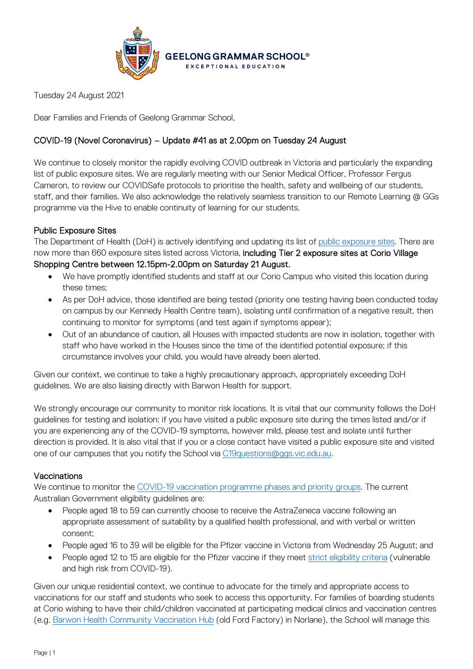

Tuesday 24 August 2021

Dear Families and Friends of Geelong Grammar School,

# COVID-19 (Novel Coronavirus) – Update #41 as at 2.00pm on Tuesday 24 August

We continue to closely monitor the rapidly evolving COVID outbreak in Victoria and particularly the expanding list of public exposure sites. We are regularly meeting with our Senior Medical Officer, Professor Fergus Cameron, to review our COVIDSafe protocols to prioritise the health, safety and wellbeing of our students, staff, and their families. We also acknowledge the relatively seamless transition to our Remote Learning @ GGs programme via the Hive to enable continuity of learning for our students.

## Public Exposure Sites

The Department of Health (DoH) is actively identifying and updating its list of [public exposure sites.](https://www.coronavirus.vic.gov.au/exposure-sites) There are now more than 660 exposure sites listed across Victoria, including Tier 2 exposure sites at Corio Village Shopping Centre between 12.15pm-2.00pm on Saturday 21 August.

- We have promptly identified students and staff at our Corio Campus who visited this location during these times;
- As per DoH advice, those identified are being tested (priority one testing having been conducted today on campus by our Kennedy Health Centre team), isolating until confirmation of a negative result, then continuing to monitor for symptoms (and test again if symptoms appear);
- Out of an abundance of caution, all Houses with impacted students are now in isolation, together with staff who have worked in the Houses since the time of the identified potential exposure; if this circumstance involves your child, you would have already been alerted.

Given our context, we continue to take a highly precautionary approach, appropriately exceeding DoH guidelines. We are also liaising directly with Barwon Health for support.

We strongly encourage our community to monitor risk locations. It is vital that our community follows the DoH guidelines for testing and isolation: if you have visited a public exposure site during the times listed and/or if you are experiencing any of the COVID-19 symptoms, however mild, please test and isolate until further direction is provided. It is also vital that if you or a close contact have visited a public exposure site and visited one of our campuses that you notify the School via [C19questions@ggs.vic.edu.au.](mailto:C19questions@ggs.vic.edu.au)

### Vaccinations

We continue to monitor the [COVID-19 vaccination programme phases and priority groups.](https://www.health.gov.au/initiatives-and-programs/covid-19-vaccines/getting-vaccinated-for-covid-19/when-will-i-get-a-covid-19-vaccine) The current Australian Government eligibility guidelines are:

- People aged 18 to 59 can currently choose to receive the AstraZeneca vaccine following an appropriate assessment of suitability by a qualified health professional, and with verbal or written consent;
- People aged 16 to 39 will be eligible for the Pfizer vaccine in Victoria from Wednesday 25 August; and
- People aged 12 to 15 are eligible for the Pfizer vaccine if they meet [strict eligibility criteria](https://covid-vaccine.healthdirect.gov.au/eligibility?lang=en) (vulnerable and high risk from COVID-19).

Given our unique residential context, we continue to advocate for the timely and appropriate access to vaccinations for our staff and students who seek to access this opportunity. For families of boarding students at Corio wishing to have their child/children vaccinated at participating medical clinics and vaccination centres (e.g. [Barwon Health Community Vaccination Hub](https://www.barwonhealth.org.au/coronavirus/booking-a-vaccination) (old Ford Factory) in Norlane), the School will manage this